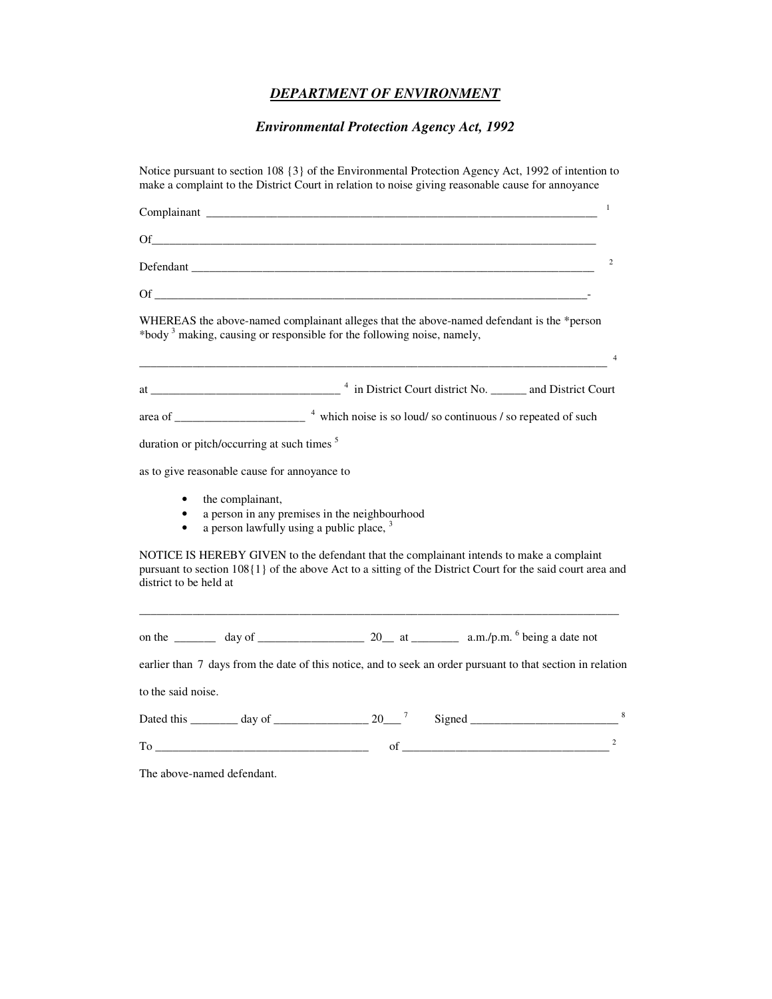## *DEPARTMENT OF ENVIRONMENT*

# *Environmental Protection Agency Act, 1992*

| Notice pursuant to section 108 $\{3\}$ of the Environmental Protection Agency Act, 1992 of intention to<br>make a complaint to the District Court in relation to noise giving reasonable cause for annoyance                                                                                                              |
|---------------------------------------------------------------------------------------------------------------------------------------------------------------------------------------------------------------------------------------------------------------------------------------------------------------------------|
| $\mathbf{1}$                                                                                                                                                                                                                                                                                                              |
| Of the contract of the contract of the contract of the contract of the contract of the contract of the contract of the contract of the contract of the contract of the contract of the contract of the contract of the contrac                                                                                            |
| $\overline{2}$<br>Defendant                                                                                                                                                                                                                                                                                               |
|                                                                                                                                                                                                                                                                                                                           |
| WHEREAS the above-named complainant alleges that the above-named defendant is the *person<br>*body <sup>3</sup> making, causing or responsible for the following noise, namely,<br>$\overline{4}$<br><u> 1989 - Johann Stein, marwolaethau a bhann an t-Amhair an t-Amhair an t-Amhair an t-Amhair an t-Amhair an t-A</u> |
|                                                                                                                                                                                                                                                                                                                           |
|                                                                                                                                                                                                                                                                                                                           |
| duration or pitch/occurring at such times <sup>5</sup>                                                                                                                                                                                                                                                                    |
| as to give reasonable cause for annoyance to                                                                                                                                                                                                                                                                              |
| the complainant,<br>$\bullet$<br>a person in any premises in the neighbourhood<br>$\bullet$<br>a person lawfully using a public place, $3$<br>$\bullet$                                                                                                                                                                   |
| NOTICE IS HEREBY GIVEN to the defendant that the complainant intends to make a complaint<br>pursuant to section 108{1} of the above Act to a sitting of the District Court for the said court area and<br>district to be held at                                                                                          |
|                                                                                                                                                                                                                                                                                                                           |
| earlier than 7 days from the date of this notice, and to seek an order pursuant to that section in relation                                                                                                                                                                                                               |
| to the said noise.                                                                                                                                                                                                                                                                                                        |
|                                                                                                                                                                                                                                                                                                                           |
| $\overline{c}$<br>of the contract of the contract of the contract of the contract of the contract of the contract of the contract of the contract of the contract of the contract of the contract of the contract of the contract of the contrac                                                                          |

The above-named defendant.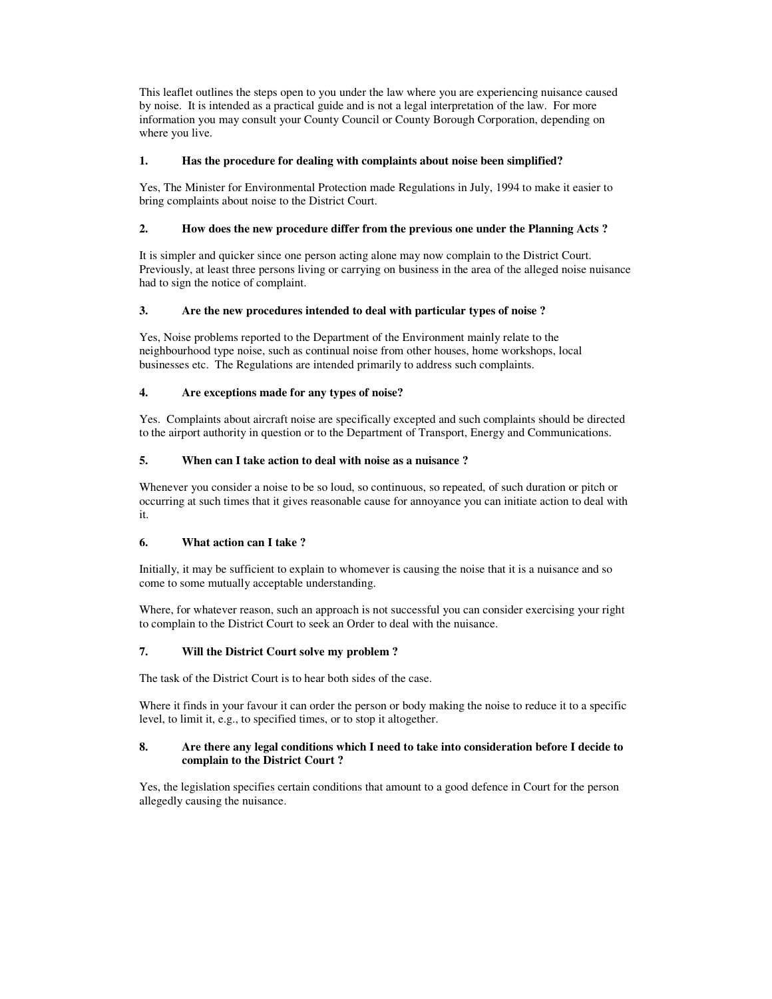This leaflet outlines the steps open to you under the law where you are experiencing nuisance caused by noise. It is intended as a practical guide and is not a legal interpretation of the law. For more information you may consult your County Council or County Borough Corporation, depending on where you live.

## **1. Has the procedure for dealing with complaints about noise been simplified?**

Yes, The Minister for Environmental Protection made Regulations in July, 1994 to make it easier to bring complaints about noise to the District Court.

## **2. How does the new procedure differ from the previous one under the Planning Acts ?**

It is simpler and quicker since one person acting alone may now complain to the District Court. Previously, at least three persons living or carrying on business in the area of the alleged noise nuisance had to sign the notice of complaint.

## **3. Are the new procedures intended to deal with particular types of noise ?**

Yes, Noise problems reported to the Department of the Environment mainly relate to the neighbourhood type noise, such as continual noise from other houses, home workshops, local businesses etc. The Regulations are intended primarily to address such complaints.

## **4. Are exceptions made for any types of noise?**

Yes. Complaints about aircraft noise are specifically excepted and such complaints should be directed to the airport authority in question or to the Department of Transport, Energy and Communications.

## **5. When can I take action to deal with noise as a nuisance ?**

Whenever you consider a noise to be so loud, so continuous, so repeated, of such duration or pitch or occurring at such times that it gives reasonable cause for annoyance you can initiate action to deal with it.

## **6. What action can I take ?**

Initially, it may be sufficient to explain to whomever is causing the noise that it is a nuisance and so come to some mutually acceptable understanding.

Where, for whatever reason, such an approach is not successful you can consider exercising your right to complain to the District Court to seek an Order to deal with the nuisance.

## **7. Will the District Court solve my problem ?**

The task of the District Court is to hear both sides of the case.

Where it finds in your favour it can order the person or body making the noise to reduce it to a specific level, to limit it, e.g., to specified times, or to stop it altogether.

#### **8. Are there any legal conditions which I need to take into consideration before I decide to complain to the District Court ?**

Yes, the legislation specifies certain conditions that amount to a good defence in Court for the person allegedly causing the nuisance.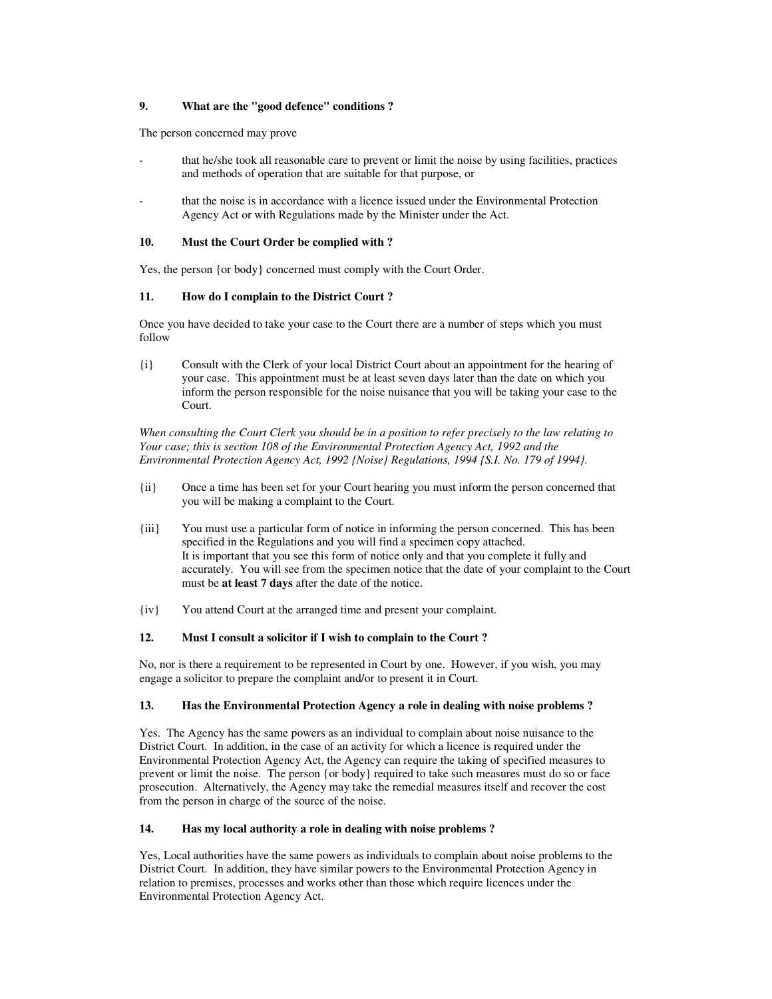## **9. What are the "good defence" conditions ?**

The person concerned may prove

- that he/she took all reasonable care to prevent or limit the noise by using facilities, practices and methods of operation that are suitable for that purpose, or
- that the noise is in accordance with a licence issued under the Environmental Protection Agency Act or with Regulations made by the Minister under the Act.

#### **10. Must the Court Order be complied with ?**

Yes, the person {or body} concerned must comply with the Court Order.

## **11. How do I complain to the District Court ?**

Once you have decided to take your case to the Court there are a number of steps which you must follow

{i} Consult with the Clerk of your local District Court about an appointment for the hearing of your case. This appointment must be at least seven days later than the date on which you inform the person responsible for the noise nuisance that you will be taking your case to the Court.

*When consulting the Court Clerk you should be in a position to refer precisely to the law relating to Your case; this is section 108 of the Environmental Protection Agency Act, 1992 and the Environmental Protection Agency Act, 1992 {Noise} Regulations, 1994 {S.I. No. 179 of 1994}.* 

- {ii} Once a time has been set for your Court hearing you must inform the person concerned that you will be making a complaint to the Court.
- {iii} You must use a particular form of notice in informing the person concerned. This has been specified in the Regulations and you will find a specimen copy attached. It is important that you see this form of notice only and that you complete it fully and accurately. You will see from the specimen notice that the date of your complaint to the Court must be **at least 7 days** after the date of the notice.
- {iv} You attend Court at the arranged time and present your complaint.

## **12. Must I consult a solicitor if I wish to complain to the Court ?**

No, nor is there a requirement to be represented in Court by one. However, if you wish, you may engage a solicitor to prepare the complaint and/or to present it in Court.

## **13. Has the Environmental Protection Agency a role in dealing with noise problems ?**

Yes. The Agency has the same powers as an individual to complain about noise nuisance to the District Court. In addition, in the case of an activity for which a licence is required under the Environmental Protection Agency Act, the Agency can require the taking of specified measures to prevent or limit the noise. The person {or body} required to take such measures must do so or face prosecution. Alternatively, the Agency may take the remedial measures itself and recover the cost from the person in charge of the source of the noise.

## **14. Has my local authority a role in dealing with noise problems ?**

Yes, Local authorities have the same powers as individuals to complain about noise problems to the District Court. In addition, they have similar powers to the Environmental Protection Agency in relation to premises, processes and works other than those which require licences under the Environmental Protection Agency Act.